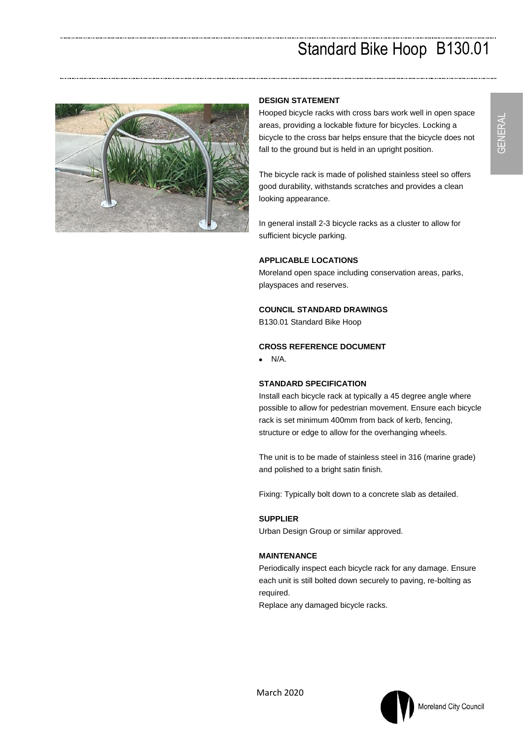# Standard Bike Hoop B130.01



### **DESIGN STATEMENT**

Hooped bicycle racks with cross bars work well in open space areas, providing a lockable fixture for bicycles. Locking a bicycle to the cross bar helps ensure that the bicycle does not fall to the ground but is held in an upright position.

The bicycle rack is made of polished stainless steel so offers good durability, withstands scratches and provides a clean looking appearance.

In general install 2-3 bicycle racks as a cluster to allow for sufficient bicycle parking.

## **APPLICABLE LOCATIONS**

Moreland open space including conservation areas, parks, playspaces and reserves.

#### **COUNCIL STANDARD DRAWINGS**

B130.01 Standard Bike Hoop

# **CROSS REFERENCE DOCUMENT**

 $\bullet$  N/A.

## **STANDARD SPECIFICATION**

Install each bicycle rack at typically a 45 degree angle where possible to allow for pedestrian movement. Ensure each bicycle rack is set minimum 400mm from back of kerb, fencing, structure or edge to allow for the overhanging wheels.

The unit is to be made of stainless steel in 316 (marine grade) and polished to a bright satin finish.

Fixing: Typically bolt down to a concrete slab as detailed.

## **SUPPLIER**

Urban Design Group or similar approved.

## **MAINTENANCE**

Periodically inspect each bicycle rack for any damage. Ensure each unit is still bolted down securely to paving, re-bolting as required.

Replace any damaged bicycle racks.